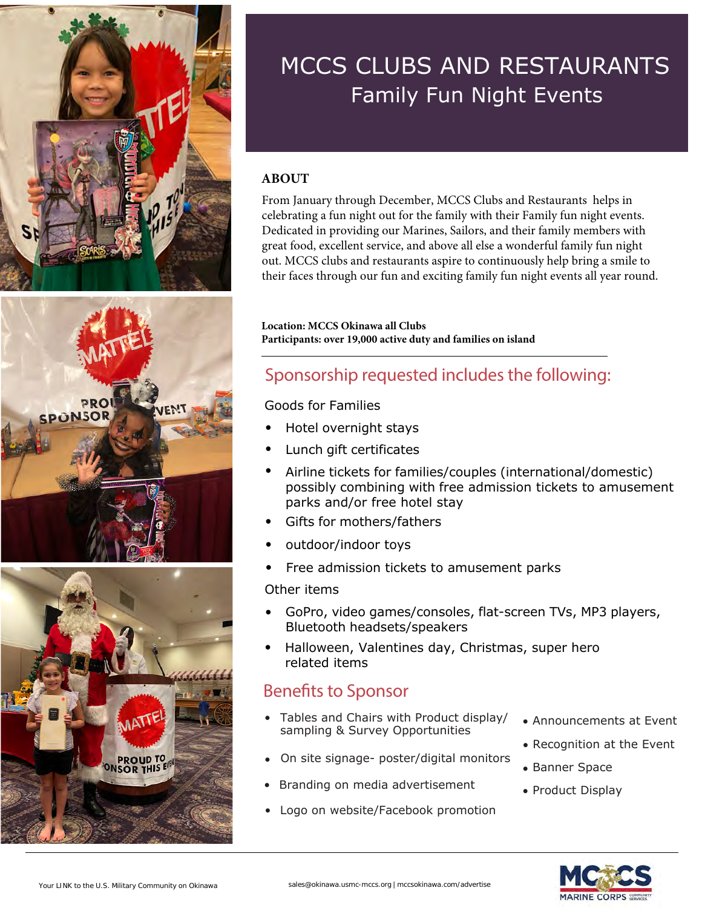





#### MCCS CLUBS AND RESTAURANTS Family Fun Night Events

#### **ABOUT**

From January through December, MCCS Clubs and Restaurants helps in celebrating a fun night out for the family with their Family fun night events. Dedicated in providing our Marines, Sailors, and their family members with great food, excellent service, and above all else a wonderful family fun night out. MCCS clubs and restaurants aspire to continuously help bring a smile to their faces through our fun and exciting family fun night events all year round.

**Location: MCCS Okinawa all Clubs Participants: over 19,000 active duty and families on island**

#### Sponsorship requested includes the following:

#### Goods for Families

- Hotel overnight stays
- Lunch gift certificates
- Airline tickets for families/couples (international/domestic) possibly combining with free admission tickets to amusement parks and/or free hotel stay
- Gifts for mothers/fathers
- outdoor/indoor toys
- Free admission tickets to amusement parks

#### Other items

- GoPro, video games/consoles, flat-screen TVs, MP3 players, Bluetooth headsets/speakers
- Halloween, Valentines day, Christmas, super hero related items

#### Benefits to Sponsor

- Tables and Chairs with Product display/ sampling & Survey Opportunities
- On site signage- poster/digital monitors
- Branding on media advertisement
- Logo on website/Facebook promotion
- Announcements at Event
- Recognition at the Event
- Banner Space
- Product Display

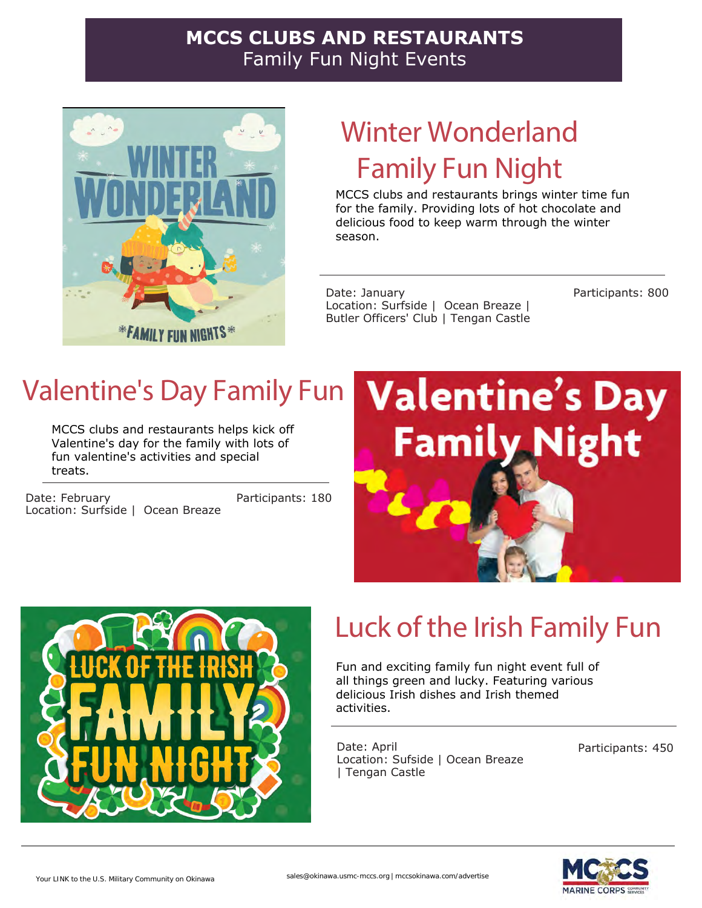#### **MCCS CLUBS AND RESTAURANTS**  Family Fun Night Events



## Winter Wonderland Family Fun Night

MCCS clubs and restaurants brings winter time fun for the family. Providing lots of hot chocolate and delicious food to keep warm through the winter season.

Date: January Location: Surfside | Ocean Breaze | Butler Officers' Club | Tengan Castle Participants: 800

## Valentine's Day Family Fun

MCCS clubs and restaurants helps kick off Valentine's day for the family with lots of fun valentine's activities and special treats.

Date: February Location: Surfside | Ocean Breaze Participants: 180





# Luck of the Irish Family Fun

Fun and exciting family fun night event full of all things green and lucky. Featuring various delicious Irish dishes and Irish themed activities.

Date: April Location: Sufside | Ocean Breaze | Tengan Castle

Participants: 450

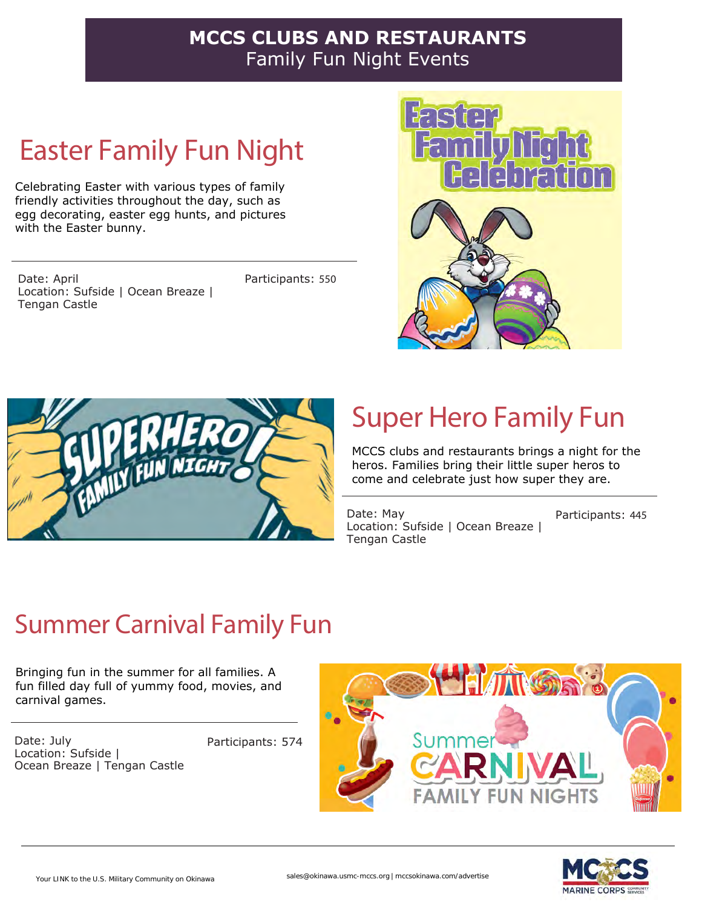#### **MCCS CLUBS AND RESTAURANTS**  Family Fun Night Events

## Easter Family Fun Night

Celebrating Easter with various types of family friendly activities throughout the day, such as egg decorating, easter egg hunts, and pictures with the Easter bunny.

Date: April Location: Sufside | Ocean Breaze | Tengan Castle

Participants: 550





# Super Hero Family Fun

MCCS clubs and restaurants brings a night for the heros. Families bring their little super heros to come and celebrate just how super they are.

Date: May Location: Sufside | Ocean Breaze | Tengan Castle

Participants: 445

### Summer Carnival Family Fun

Bringing fun in the summer for all families. A fun filled day full of yummy food, movies, and carnival games.

Date: July Location: Sufside | Ocean Breaze | Tengan Castle

Participants: 574



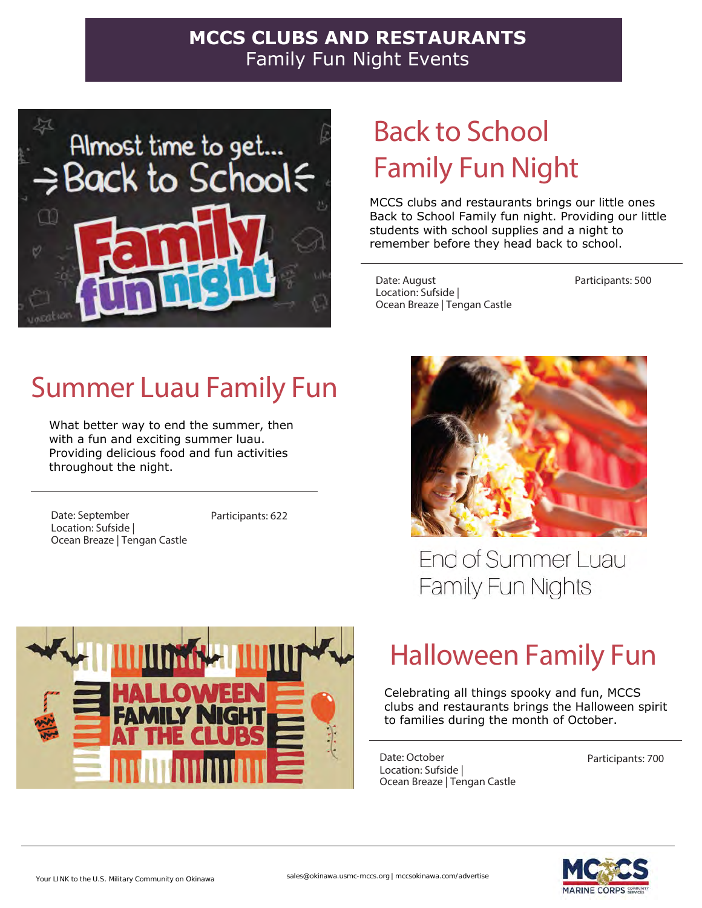#### **MCCS CLUBS AND RESTAURANTS**  Family Fun Night Events



### Back to School Family Fun Night

MCCS clubs and restaurants brings our little ones Back to School Family fun night. Providing our little students with school supplies and a night to remember before they head back to school.

Date: August Location: Sufside | Ocean Breaze | Tengan Castle Participants: 500

### Summer Luau Family Fun

What better way to end the summer, then with a fun and exciting summer luau. Providing delicious food and fun activities throughout the night.

Date: September Location: Sufside | Ocean Breaze | Tengan Castle Participants: 622



**End of Summer Luau** Family Fun Nights



## Halloween Family Fun

Celebrating all things spooky and fun, MCCS clubs and restaurants brings the Halloween spirit to families during the month of October.

Date: October Location: Sufside | Ocean Breaze | Tengan Castle

Participants: 700